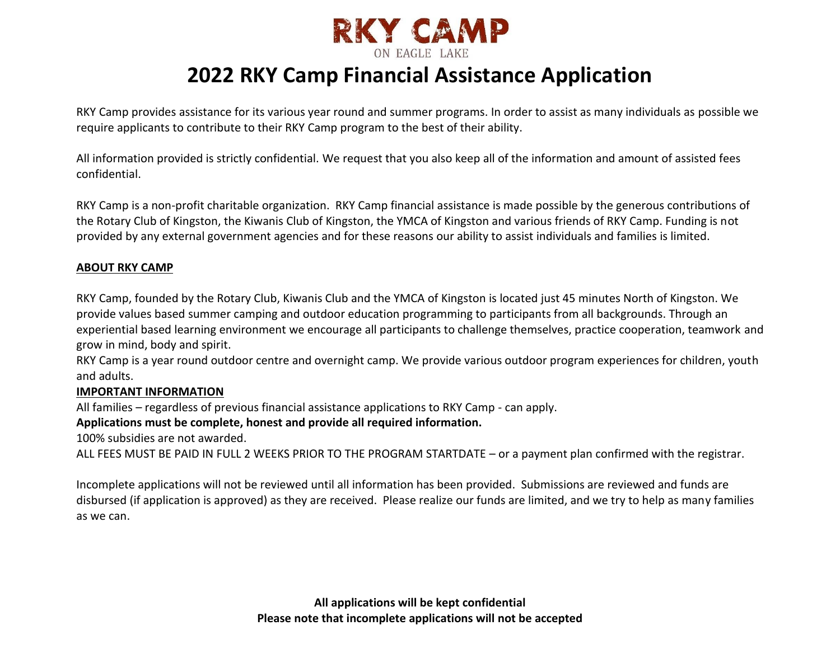

# **2022 RKY Camp Financial Assistance Application**

RKY Camp provides assistance for its various year round and summer programs. In order to assist as many individuals as possible we require applicants to contribute to their RKY Camp program to the best of their ability.

All information provided is strictly confidential. We request that you also keep all of the information and amount of assisted fees confidential.

RKY Camp is a non-profit charitable organization. RKY Camp financial assistance is made possible by the generous contributions of the Rotary Club of Kingston, the Kiwanis Club of Kingston, the YMCA of Kingston and various friends of RKY Camp. Funding is not provided by any external government agencies and for these reasons our ability to assist individuals and families is limited.

## **ABOUT RKY CAMP**

RKY Camp, founded by the Rotary Club, Kiwanis Club and the YMCA of Kingston is located just 45 minutes North of Kingston. We provide values based summer camping and outdoor education programming to participants from all backgrounds. Through an experiential based learning environment we encourage all participants to challenge themselves, practice cooperation, teamwork and grow in mind, body and spirit.

RKY Camp is a year round outdoor centre and overnight camp. We provide various outdoor program experiences for children, youth and adults.

### **IMPORTANT INFORMATION**

All families – regardless of previous financial assistance applications to RKY Camp - can apply.

# **Applications must be complete, honest and provide all required information.**

100% subsidies are not awarded.

ALL FEES MUST BE PAID IN FULL 2 WEEKS PRIOR TO THE PROGRAM STARTDATE – or a payment plan confirmed with the registrar.

Incomplete applications will not be reviewed until all information has been provided. Submissions are reviewed and funds are disbursed (if application is approved) as they are received. Please realize our funds are limited, and we try to help as many families as we can.